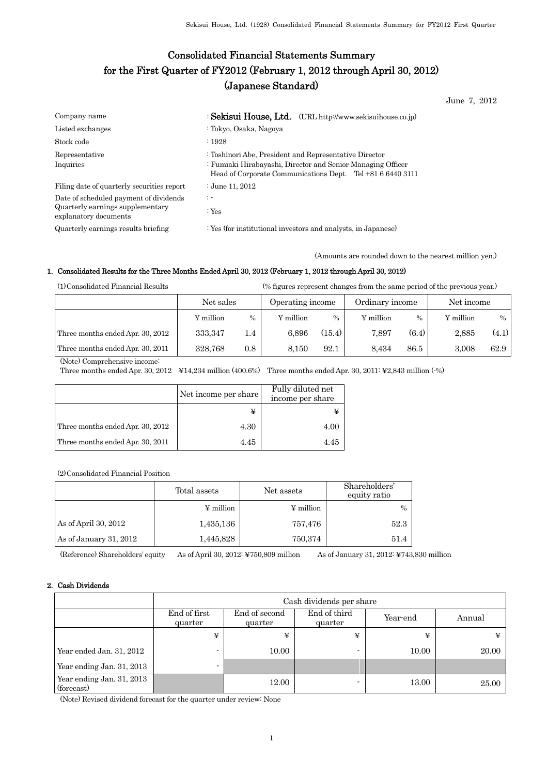# Consolidated Financial Statements Summary for the First Quarter of FY2012 (February 1, 2012 through April 30, 2012) (Japanese Standard)

June 7, 2012

| Company name                                                                                        | : Sekisui House, Ltd. (URL http://www.sekisuihouse.co.jp)                                                                                                                           |
|-----------------------------------------------------------------------------------------------------|-------------------------------------------------------------------------------------------------------------------------------------------------------------------------------------|
| Listed exchanges                                                                                    | : Tokyo, Osaka, Nagoya                                                                                                                                                              |
| Stock code                                                                                          | .1928                                                                                                                                                                               |
| Representative<br>Inquiries                                                                         | : Toshinori Abe, President and Representative Director<br>: Fumiaki Hirabayashi, Director and Senior Managing Officer<br>Head of Corporate Communications Dept. Tel +81 6 6440 3111 |
| Filing date of quarterly securities report                                                          | : June 11, $2012$                                                                                                                                                                   |
| Date of scheduled payment of dividends<br>Quarterly earnings supplementary<br>explanatory documents | $\mathbb{R}$ -<br>: $Yes$                                                                                                                                                           |
| Quarterly earnings results briefing                                                                 | : Yes (for institutional investors and analysts, in Japanese)                                                                                                                       |

(Amounts are rounded down to the nearest million yen.)

## 1. Consolidated Results for the Three Months Ended April 30, 2012 (February 1, 2012 through April 30, 2012)

(1)Consolidated Financial Results (% figures represent changes from the same period of the previous year.)

|                                  | Net sales      |      | Operating income |        | Ordinary income |       | Net income     |       |
|----------------------------------|----------------|------|------------------|--------|-----------------|-------|----------------|-------|
|                                  | $\Psi$ million | $\%$ | $\Psi$ million   | $\%$   | $\Psi$ million  | $\%$  | $\Psi$ million | $\%$  |
| Three months ended Apr. 30, 2012 | 333, 347       | 1.4  | 6.896            | (15.4) | 7.897           | (6.4) | 2.885          | (4.1) |
| Three months ended Apr. 30, 2011 | 328.768        | 0.8  | 8.150            | 92.1   | 8.434           | 86.5  | 3.008          | 62.9  |

(Note) Comprehensive income:

Three months ended Apr. 30, 2012 ¥14,234 million (400.6%) Three months ended Apr. 30, 2011: ¥2,843 million (-%)

|                                  | Net income per share | Fully diluted net<br>income per share |
|----------------------------------|----------------------|---------------------------------------|
|                                  |                      |                                       |
| Three months ended Apr. 30, 2012 | 4.30                 | 4.00                                  |
| Three months ended Apr. 30, 2011 | 4.45                 | 4.45                                  |

(2)Consolidated Financial Position

|                        | Total assets   | Net assets |      |
|------------------------|----------------|------------|------|
|                        | $\Psi$ million | ¥ million  | $\%$ |
| As of April 30, 2012   | 1,435,136      | 757,476    | 52.3 |
| As of January 31, 2012 | 1,445,828      | 750,374    | 51.4 |

(Reference) Shareholders' equity As of April 30, 2012: ¥750,809 million As of January 31, 2012: ¥743,830 million

## 2. Cash Dividends

|                                         | Cash dividends per share |                                                                 |   |       |       |  |  |  |
|-----------------------------------------|--------------------------|-----------------------------------------------------------------|---|-------|-------|--|--|--|
|                                         | End of first<br>quarter  | End of third<br>End of second<br>Year-end<br>quarter<br>quarter |   |       |       |  |  |  |
|                                         | ¥                        | ¥                                                               | ¥ | ¥     |       |  |  |  |
| Year ended Jan. 31, 2012                |                          | 10.00                                                           |   | 10.00 | 20.00 |  |  |  |
| Year ending Jan. 31, 2013               |                          |                                                                 |   |       |       |  |  |  |
| Year ending Jan. 31, 2013<br>(forecast) |                          | 12.00                                                           |   | 13.00 | 25.00 |  |  |  |

(Note) Revised dividend forecast for the quarter under review: None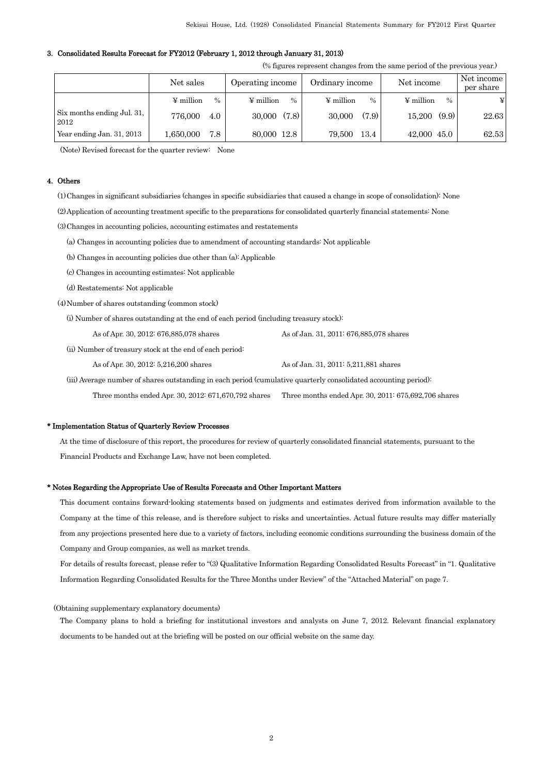### 3. Consolidated Results Forecast for FY2012 (February 1, 2012 through January 31, 2013)

|  |  | (% figures represent changes from the same period of the previous year.) |  |
|--|--|--------------------------------------------------------------------------|--|
|  |  |                                                                          |  |

|                                    | Net sales         | Operating income  | Ordinary income                 | Net income                      | Net income<br>per share |
|------------------------------------|-------------------|-------------------|---------------------------------|---------------------------------|-------------------------|
|                                    | $\%$<br>¥ million | ¥ million<br>$\%$ | $\Psi$ million<br>$\frac{0}{0}$ | $\Psi$ million<br>$\frac{0}{0}$ | ¥                       |
| Six months ending Jul. 31,<br>2012 | 776,000<br>4.0    | (7.8)<br>30,000   | (7.9)<br>30,000                 | (9.9)<br>15.200                 | 22.63                   |
| Year ending Jan. 31, 2013          | 7.8<br>1,650,000  | 80,000 12.8       | 13.4<br>79,500                  | 42,000 45.0                     | 62.53                   |

(Note) Revised forecast for the quarter review: None

### 4. Others

(1)Changes in significant subsidiaries (changes in specific subsidiaries that caused a change in scope of consolidation): None

(2)Application of accounting treatment specific to the preparations for consolidated quarterly financial statements: None

(3)Changes in accounting policies, accounting estimates and restatements

(a) Changes in accounting policies due to amendment of accounting standards: Not applicable

(b) Changes in accounting policies due other than (a): Applicable

(c) Changes in accounting estimates: Not applicable

(d) Restatements: Not applicable

(4)Number of shares outstanding (common stock)

(i) Number of shares outstanding at the end of each period (including treasury stock):

As of Apr. 30, 2012: 676,885,078 shares As of Jan. 31, 2011: 676,885,078 shares

(ii) Number of treasury stock at the end of each period:

As of Apr. 30, 2012: 5,216,200 shares As of Jan. 31, 2011: 5,211,881 shares

(iii) Average number of shares outstanding in each period (cumulative quarterly consolidated accounting period):

Three months ended Apr. 30, 2012: 671,670,792 shares Three months ended Apr. 30, 2011: 675,692,706 shares

#### \* Implementation Status of Quarterly Review Processes

At the time of disclosure of this report, the procedures for review of quarterly consolidated financial statements, pursuant to the Financial Products and Exchange Law, have not been completed.

#### \* Notes Regarding the Appropriate Use of Results Forecasts and Other Important Matters

This document contains forward-looking statements based on judgments and estimates derived from information available to the Company at the time of this release, and is therefore subject to risks and uncertainties. Actual future results may differ materially from any projections presented here due to a variety of factors, including economic conditions surrounding the business domain of the Company and Group companies, as well as market trends.

For details of results forecast, please refer to "(3) Qualitative Information Regarding Consolidated Results Forecast" in "1. Qualitative Information Regarding Consolidated Results for the Three Months under Review" of the "Attached Material" on page 7.

#### (Obtaining supplementary explanatory documents)

The Company plans to hold a briefing for institutional investors and analysts on June 7, 2012. Relevant financial explanatory documents to be handed out at the briefing will be posted on our official website on the same day.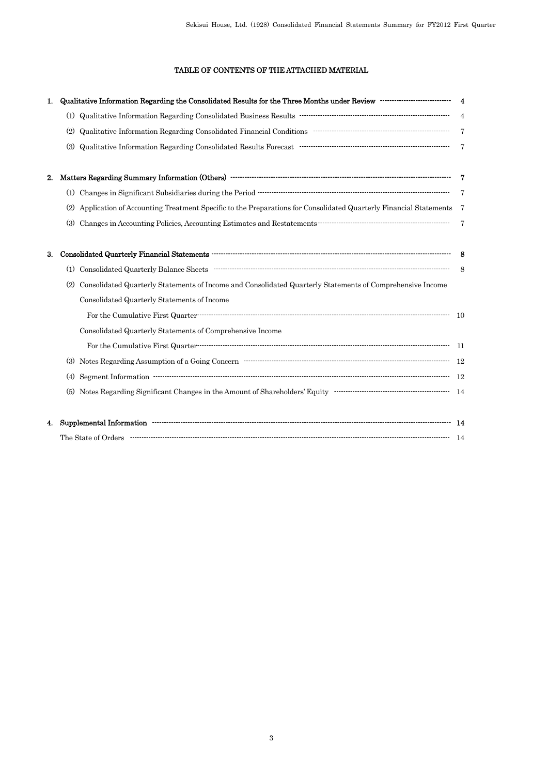## TABLE OF CONTENTS OF THE ATTACHED MATERIAL

| 1. |                                                                                                                                                                                                                                                                                                                                                                                                                                                                                                                                                                                                                                                                              |                |
|----|------------------------------------------------------------------------------------------------------------------------------------------------------------------------------------------------------------------------------------------------------------------------------------------------------------------------------------------------------------------------------------------------------------------------------------------------------------------------------------------------------------------------------------------------------------------------------------------------------------------------------------------------------------------------------|----------------|
|    | $\textbf{(1)} \ \ \textbf{Qualitative Information Regarding Consolidated Business Results \ \ \textcolor{red}{\textbf{new}} \ \ \textcolor{red}{\textbf{new}} \ \ \textcolor{red}{\textbf{new}} \ \ \textcolor{red}{\textbf{new}} \ \ \textcolor{red}{\textbf{0}} \ \ \textcolor{red}{\textbf{0}} \ \ \textcolor{red}{\textbf{0}} \ \ \textcolor{red}{\textbf{0}} \ \ \textcolor{red}{\textbf{0}} \ \ \textcolor{red}{\textbf{0}} \ \ \textcolor{red}{\textbf{0}} \ \ \textcolor{red}{\textbf{0}} \ \ \textcolor{red}{\textbf{0}} \ \ \textcolor{red}{\textbf{0}} \ \ \$                                                                                                     |                |
|    | Qualitative Information Regarding Consolidated Financial Conditions ……………………………………………………………………………………<br>(2)                                                                                                                                                                                                                                                                                                                                                                                                                                                                                                                                                                  | $\overline{7}$ |
|    | $\label{lem:q} \textbf{Qualitative Information Regarding Consolidated Results Forecast}\footnotesize\begin{minipage}{.45\textwidth} \begin{tabular}{l} \textbf{Qualitative Information Regarding Consolidated Results Forecast}\end{tabular} \end{minipage}% \end{minipage}% \begin{minipage}{.45\textwidth} \begin{tabular}{l} \textbf{Qualitative Information Research} \end{tabular} \end{minipage}% \end{minipage}% \begin{minipage}{.45\textwidth} \begin{tabular}{l} \textbf{Qualitative Information Research} \end{tabular} \end{minipage}% \end{minipage}% \begin{minipage}{.45\textwidth} \begin{tabular}{l} \textbf{Qualitative Information Research} \end$<br>(3) |                |
| 2. |                                                                                                                                                                                                                                                                                                                                                                                                                                                                                                                                                                                                                                                                              |                |
|    | (1) Changes in Significant Subsidiaries during the Period $\begin{array}{r} 7 \\ 7 \end{array}$                                                                                                                                                                                                                                                                                                                                                                                                                                                                                                                                                                              |                |
|    | Application of Accounting Treatment Specific to the Preparations for Consolidated Quarterly Financial Statements 7<br>(2)                                                                                                                                                                                                                                                                                                                                                                                                                                                                                                                                                    |                |
|    | (3)                                                                                                                                                                                                                                                                                                                                                                                                                                                                                                                                                                                                                                                                          | $\overline{7}$ |
| 3. |                                                                                                                                                                                                                                                                                                                                                                                                                                                                                                                                                                                                                                                                              |                |
|    |                                                                                                                                                                                                                                                                                                                                                                                                                                                                                                                                                                                                                                                                              |                |
|    | Consolidated Quarterly Statements of Income and Consolidated Quarterly Statements of Comprehensive Income<br>(2)                                                                                                                                                                                                                                                                                                                                                                                                                                                                                                                                                             |                |
|    | Consolidated Quarterly Statements of Income                                                                                                                                                                                                                                                                                                                                                                                                                                                                                                                                                                                                                                  |                |
|    |                                                                                                                                                                                                                                                                                                                                                                                                                                                                                                                                                                                                                                                                              |                |
|    | Consolidated Quarterly Statements of Comprehensive Income                                                                                                                                                                                                                                                                                                                                                                                                                                                                                                                                                                                                                    |                |
|    |                                                                                                                                                                                                                                                                                                                                                                                                                                                                                                                                                                                                                                                                              |                |
|    |                                                                                                                                                                                                                                                                                                                                                                                                                                                                                                                                                                                                                                                                              |                |
|    | (4)                                                                                                                                                                                                                                                                                                                                                                                                                                                                                                                                                                                                                                                                          |                |
|    | Notes Regarding Significant Changes in the Amount of Shareholders' Equity<br>$\begin{minipage}[c]{0.9\linewidth} \hline \end{minipage}$<br>(5)                                                                                                                                                                                                                                                                                                                                                                                                                                                                                                                               |                |
| 4. |                                                                                                                                                                                                                                                                                                                                                                                                                                                                                                                                                                                                                                                                              |                |
|    |                                                                                                                                                                                                                                                                                                                                                                                                                                                                                                                                                                                                                                                                              |                |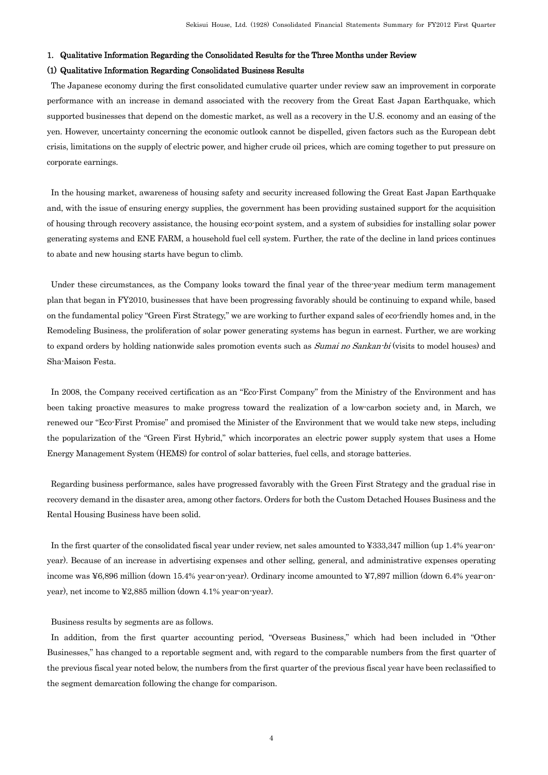### 1. Qualitative Information Regarding the Consolidated Results for the Three Months under Review

### (1) Qualitative Information Regarding Consolidated Business Results

The Japanese economy during the first consolidated cumulative quarter under review saw an improvement in corporate performance with an increase in demand associated with the recovery from the Great East Japan Earthquake, which supported businesses that depend on the domestic market, as well as a recovery in the U.S. economy and an easing of the yen. However, uncertainty concerning the economic outlook cannot be dispelled, given factors such as the European debt crisis, limitations on the supply of electric power, and higher crude oil prices, which are coming together to put pressure on corporate earnings.

In the housing market, awareness of housing safety and security increased following the Great East Japan Earthquake and, with the issue of ensuring energy supplies, the government has been providing sustained support for the acquisition of housing through recovery assistance, the housing eco-point system, and a system of subsidies for installing solar power generating systems and ENE FARM, a household fuel cell system. Further, the rate of the decline in land prices continues to abate and new housing starts have begun to climb.

Under these circumstances, as the Company looks toward the final year of the three-year medium term management plan that began in FY2010, businesses that have been progressing favorably should be continuing to expand while, based on the fundamental policy "Green First Strategy," we are working to further expand sales of eco-friendly homes and, in the Remodeling Business, the proliferation of solar power generating systems has begun in earnest. Further, we are working to expand orders by holding nationwide sales promotion events such as *Sumai no Sankan-bi* (visits to model houses) and Sha-Maison Festa.

In 2008, the Company received certification as an "Eco-First Company" from the Ministry of the Environment and has been taking proactive measures to make progress toward the realization of a low-carbon society and, in March, we renewed our "Eco-First Promise" and promised the Minister of the Environment that we would take new steps, including the popularization of the "Green First Hybrid," which incorporates an electric power supply system that uses a Home Energy Management System (HEMS) for control of solar batteries, fuel cells, and storage batteries.

Regarding business performance, sales have progressed favorably with the Green First Strategy and the gradual rise in recovery demand in the disaster area, among other factors. Orders for both the Custom Detached Houses Business and the Rental Housing Business have been solid.

In the first quarter of the consolidated fiscal year under review, net sales amounted to ¥333,347 million (up 1.4% year-onyear). Because of an increase in advertising expenses and other selling, general, and administrative expenses operating income was ¥6,896 million (down 15.4% year-on-year). Ordinary income amounted to ¥7,897 million (down 6.4% year-onyear), net income to ¥2,885 million (down 4.1% year-on-year).

Business results by segments are as follows.

In addition, from the first quarter accounting period, "Overseas Business," which had been included in "Other Businesses," has changed to a reportable segment and, with regard to the comparable numbers from the first quarter of the previous fiscal year noted below, the numbers from the first quarter of the previous fiscal year have been reclassified to the segment demarcation following the change for comparison.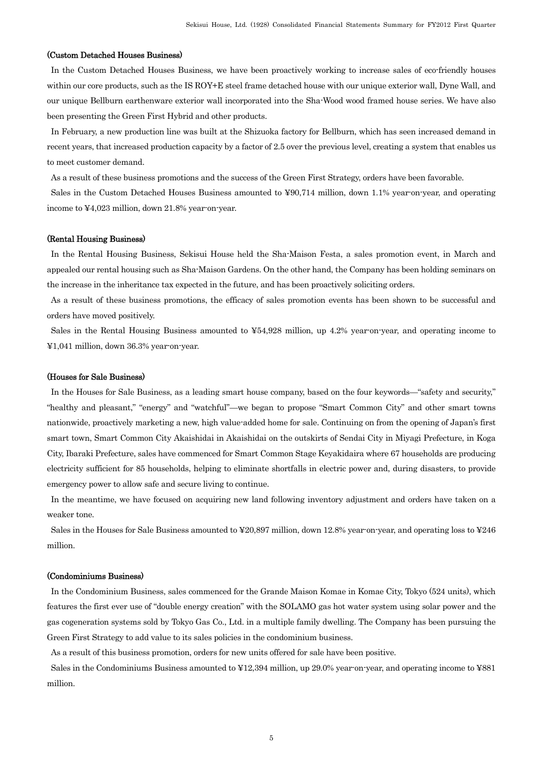## (Custom Detached Houses Business)

In the Custom Detached Houses Business, we have been proactively working to increase sales of eco-friendly houses within our core products, such as the IS ROY+E steel frame detached house with our unique exterior wall, Dyne Wall, and our unique Bellburn earthenware exterior wall incorporated into the Sha-Wood wood framed house series. We have also been presenting the Green First Hybrid and other products.

In February, a new production line was built at the Shizuoka factory for Bellburn, which has seen increased demand in recent years, that increased production capacity by a factor of 2.5 over the previous level, creating a system that enables us to meet customer demand.

As a result of these business promotions and the success of the Green First Strategy, orders have been favorable.

Sales in the Custom Detached Houses Business amounted to ¥90,714 million, down 1.1% year-on-year, and operating income to ¥4,023 million, down 21.8% year-on-year.

#### (Rental Housing Business)

In the Rental Housing Business, Sekisui House held the Sha-Maison Festa, a sales promotion event, in March and appealed our rental housing such as Sha-Maison Gardens. On the other hand, the Company has been holding seminars on the increase in the inheritance tax expected in the future, and has been proactively soliciting orders.

As a result of these business promotions, the efficacy of sales promotion events has been shown to be successful and orders have moved positively.

Sales in the Rental Housing Business amounted to ¥54,928 million, up 4.2% year-on-year, and operating income to ¥1,041 million, down 36.3% year-on-year.

### (Houses for Sale Business)

In the Houses for Sale Business, as a leading smart house company, based on the four keywords—"safety and security," "healthy and pleasant," "energy" and "watchful"—we began to propose "Smart Common City" and other smart towns nationwide, proactively marketing a new, high value-added home for sale. Continuing on from the opening of Japan's first smart town, Smart Common City Akaishidai in Akaishidai on the outskirts of Sendai City in Miyagi Prefecture, in Koga City, Ibaraki Prefecture, sales have commenced for Smart Common Stage Keyakidaira where 67 households are producing electricity sufficient for 85 households, helping to eliminate shortfalls in electric power and, during disasters, to provide emergency power to allow safe and secure living to continue.

In the meantime, we have focused on acquiring new land following inventory adjustment and orders have taken on a weaker tone.

Sales in the Houses for Sale Business amounted to ¥20,897 million, down 12.8% year-on-year, and operating loss to ¥246 million.

#### (Condominiums Business)

In the Condominium Business, sales commenced for the Grande Maison Komae in Komae City, Tokyo (524 units), which features the first ever use of "double energy creation" with the SOLAMO gas hot water system using solar power and the gas cogeneration systems sold by Tokyo Gas Co., Ltd. in a multiple family dwelling. The Company has been pursuing the Green First Strategy to add value to its sales policies in the condominium business.

As a result of this business promotion, orders for new units offered for sale have been positive.

Sales in the Condominiums Business amounted to ¥12,394 million, up 29.0% year-on-year, and operating income to ¥881 million.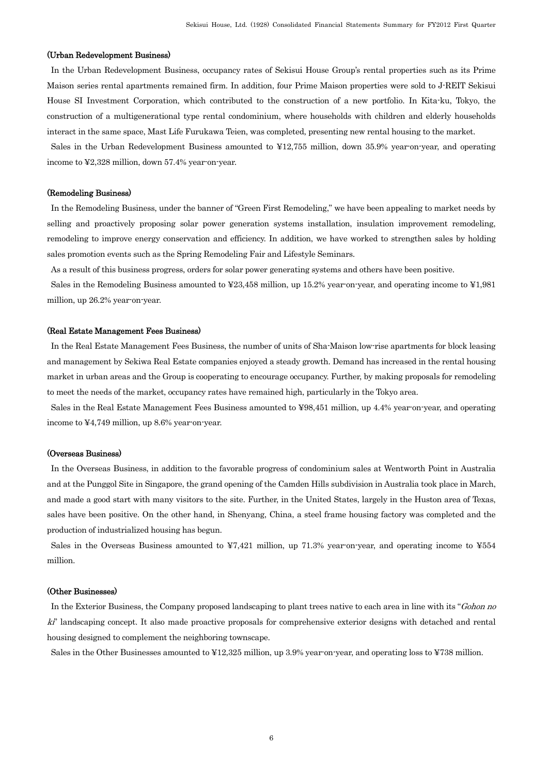### (Urban Redevelopment Business)

In the Urban Redevelopment Business, occupancy rates of Sekisui House Group's rental properties such as its Prime Maison series rental apartments remained firm. In addition, four Prime Maison properties were sold to J-REIT Sekisui House SI Investment Corporation, which contributed to the construction of a new portfolio. In Kita-ku, Tokyo, the construction of a multigenerational type rental condominium, where households with children and elderly households interact in the same space, Mast Life Furukawa Teien, was completed, presenting new rental housing to the market.

Sales in the Urban Redevelopment Business amounted to ¥12,755 million, down 35.9% year-on-year, and operating income to ¥2,328 million, down 57.4% year-on-year.

#### (Remodeling Business)

In the Remodeling Business, under the banner of "Green First Remodeling," we have been appealing to market needs by selling and proactively proposing solar power generation systems installation, insulation improvement remodeling, remodeling to improve energy conservation and efficiency. In addition, we have worked to strengthen sales by holding sales promotion events such as the Spring Remodeling Fair and Lifestyle Seminars.

As a result of this business progress, orders for solar power generating systems and others have been positive.

Sales in the Remodeling Business amounted to ¥23,458 million, up 15.2% year-on-year, and operating income to ¥1,981 million, up 26.2% year-on-year.

#### (Real Estate Management Fees Business)

In the Real Estate Management Fees Business, the number of units of Sha-Maison low-rise apartments for block leasing and management by Sekiwa Real Estate companies enjoyed a steady growth. Demand has increased in the rental housing market in urban areas and the Group is cooperating to encourage occupancy. Further, by making proposals for remodeling to meet the needs of the market, occupancy rates have remained high, particularly in the Tokyo area.

Sales in the Real Estate Management Fees Business amounted to ¥98,451 million, up 4.4% year-on-year, and operating income to ¥4,749 million, up 8.6% year-on-year.

#### (Overseas Business)

In the Overseas Business, in addition to the favorable progress of condominium sales at Wentworth Point in Australia and at the Punggol Site in Singapore, the grand opening of the Camden Hills subdivision in Australia took place in March, and made a good start with many visitors to the site. Further, in the United States, largely in the Huston area of Texas, sales have been positive. On the other hand, in Shenyang, China, a steel frame housing factory was completed and the production of industrialized housing has begun.

Sales in the Overseas Business amounted to  $\angle 7.421$  million, up 71.3% year-on-year, and operating income to  $\angle 554$ million.

### (Other Businesses)

In the Exterior Business, the Company proposed landscaping to plant trees native to each area in line with its "Gohon no ki" landscaping concept. It also made proactive proposals for comprehensive exterior designs with detached and rental housing designed to complement the neighboring townscape.

Sales in the Other Businesses amounted to ¥12,325 million, up 3.9% year-on-year, and operating loss to ¥738 million.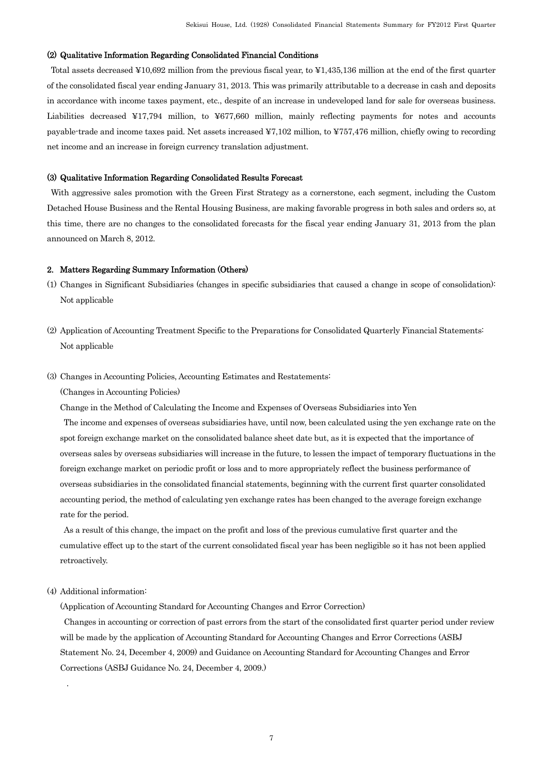## (2) Qualitative Information Regarding Consolidated Financial Conditions

Total assets decreased ¥10,692 million from the previous fiscal year, to ¥1,435,136 million at the end of the first quarter of the consolidated fiscal year ending January 31, 2013. This was primarily attributable to a decrease in cash and deposits in accordance with income taxes payment, etc., despite of an increase in undeveloped land for sale for overseas business. Liabilities decreased ¥17,794 million, to ¥677,660 million, mainly reflecting payments for notes and accounts payable-trade and income taxes paid. Net assets increased ¥7,102 million, to ¥757,476 million, chiefly owing to recording net income and an increase in foreign currency translation adjustment.

#### (3) Qualitative Information Regarding Consolidated Results Forecast

With aggressive sales promotion with the Green First Strategy as a cornerstone, each segment, including the Custom Detached House Business and the Rental Housing Business, are making favorable progress in both sales and orders so, at this time, there are no changes to the consolidated forecasts for the fiscal year ending January 31, 2013 from the plan announced on March 8, 2012.

#### 2. Matters Regarding Summary Information (Others)

- (1) Changes in Significant Subsidiaries (changes in specific subsidiaries that caused a change in scope of consolidation): Not applicable
- (2) Application of Accounting Treatment Specific to the Preparations for Consolidated Quarterly Financial Statements: Not applicable
- (3) Changes in Accounting Policies, Accounting Estimates and Restatements:

(Changes in Accounting Policies)

Change in the Method of Calculating the Income and Expenses of Overseas Subsidiaries into Yen

The income and expenses of overseas subsidiaries have, until now, been calculated using the yen exchange rate on the spot foreign exchange market on the consolidated balance sheet date but, as it is expected that the importance of overseas sales by overseas subsidiaries will increase in the future, to lessen the impact of temporary fluctuations in the foreign exchange market on periodic profit or loss and to more appropriately reflect the business performance of overseas subsidiaries in the consolidated financial statements, beginning with the current first quarter consolidated accounting period, the method of calculating yen exchange rates has been changed to the average foreign exchange rate for the period.

As a result of this change, the impact on the profit and loss of the previous cumulative first quarter and the cumulative effect up to the start of the current consolidated fiscal year has been negligible so it has not been applied retroactively.

(4) Additional information:

.

(Application of Accounting Standard for Accounting Changes and Error Correction)

Changes in accounting or correction of past errors from the start of the consolidated first quarter period under review will be made by the application of Accounting Standard for Accounting Changes and Error Corrections (ASBJ Statement No. 24, December 4, 2009) and Guidance on Accounting Standard for Accounting Changes and Error Corrections (ASBJ Guidance No. 24, December 4, 2009.)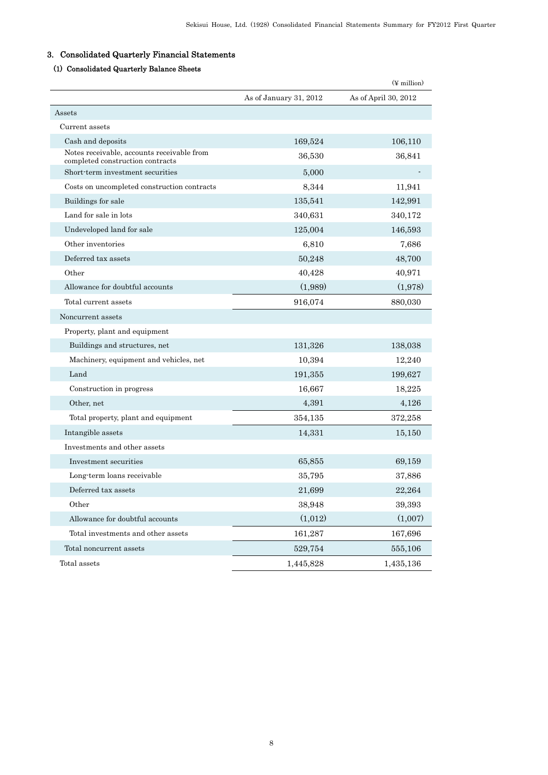## 3. Consolidated Quarterly Financial Statements

## (1) Consolidated Quarterly Balance Sheets

|                                                                                |                        | $(\frac{y}{x})$ million |
|--------------------------------------------------------------------------------|------------------------|-------------------------|
|                                                                                | As of January 31, 2012 | As of April 30, 2012    |
| Assets                                                                         |                        |                         |
| Current assets                                                                 |                        |                         |
| Cash and deposits                                                              | 169,524                | 106,110                 |
| Notes receivable, accounts receivable from<br>completed construction contracts | 36,530                 | 36,841                  |
| Short term investment securities                                               | 5,000                  |                         |
| Costs on uncompleted construction contracts                                    | 8,344                  | 11,941                  |
| Buildings for sale                                                             | 135,541                | 142,991                 |
| Land for sale in lots                                                          | 340,631                | 340,172                 |
| Undeveloped land for sale                                                      | 125,004                | 146,593                 |
| Other inventories                                                              | 6,810                  | 7,686                   |
| Deferred tax assets                                                            | 50,248                 | 48,700                  |
| Other                                                                          | 40,428                 | 40,971                  |
| Allowance for doubtful accounts                                                | (1,989)                | (1,978)                 |
| Total current assets                                                           | 916,074                | 880,030                 |
| Noncurrent assets                                                              |                        |                         |
| Property, plant and equipment                                                  |                        |                         |
| Buildings and structures, net                                                  | 131,326                | 138,038                 |
| Machinery, equipment and vehicles, net                                         | 10,394                 | 12,240                  |
| Land                                                                           | 191,355                | 199,627                 |
| Construction in progress                                                       | 16,667                 | 18,225                  |
| Other, net                                                                     | 4,391                  | 4,126                   |
| Total property, plant and equipment                                            | 354,135                | 372,258                 |
| Intangible assets                                                              | 14,331                 | 15,150                  |
| Investments and other assets                                                   |                        |                         |
| Investment securities                                                          | 65,855                 | 69,159                  |
| Long term loans receivable                                                     | 35,795                 | 37,886                  |
| Deferred tax assets                                                            | 21,699                 | 22,264                  |
| Other                                                                          | 38,948                 | 39,393                  |
| Allowance for doubtful accounts                                                | (1,012)                | (1,007)                 |
| Total investments and other assets                                             | 161,287                | 167,696                 |
| Total noncurrent assets                                                        | 529,754                | 555,106                 |
| Total assets                                                                   | 1,445,828              | 1,435,136               |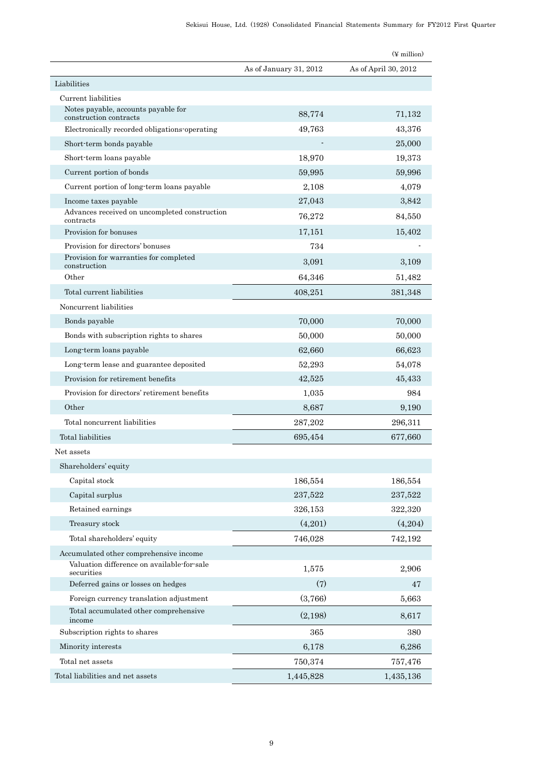|                                                               |                        | $(\frac{y}{x})$ million |
|---------------------------------------------------------------|------------------------|-------------------------|
|                                                               | As of January 31, 2012 | As of April 30, 2012    |
| Liabilities                                                   |                        |                         |
| Current liabilities                                           |                        |                         |
| Notes payable, accounts payable for<br>construction contracts | 88,774                 | 71,132                  |
| Electronically recorded obligations operating                 | 49,763                 | 43,376                  |
| Short-term bonds payable                                      |                        | 25,000                  |
| Short-term loans payable                                      | 18,970                 | 19,373                  |
| Current portion of bonds                                      | 59,995                 | 59,996                  |
| Current portion of long-term loans payable                    | 2,108                  | 4,079                   |
| Income taxes payable                                          | 27,043                 | 3,842                   |
| Advances received on uncompleted construction<br>contracts    | 76,272                 | 84,550                  |
| Provision for bonuses                                         | 17,151                 | 15,402                  |
| Provision for directors' bonuses                              | 734                    |                         |
| Provision for warranties for completed<br>construction        | 3,091                  | 3,109                   |
| Other                                                         | 64,346                 | 51,482                  |
| Total current liabilities                                     | 408,251                | 381,348                 |
| Noncurrent liabilities                                        |                        |                         |
| Bonds payable                                                 | 70,000                 | 70,000                  |
| Bonds with subscription rights to shares                      | 50,000                 | 50,000                  |
| Long-term loans payable                                       | 62,660                 | 66,623                  |
| Long term lease and guarantee deposited                       | 52,293                 | 54,078                  |
| Provision for retirement benefits                             | 42,525                 | 45,433                  |
| Provision for directors' retirement benefits                  | 1,035                  | 984                     |
| Other                                                         | 8,687                  | 9,190                   |
| Total noncurrent liabilities                                  | 287,202                | 296,311                 |
| Total liabilities                                             | 695,454                | 677,660                 |
| Net assets                                                    |                        |                         |
| Shareholders' equity                                          |                        |                         |
| Capital stock                                                 | 186,554                | 186,554                 |
| Capital surplus                                               | 237,522                | 237,522                 |
| Retained earnings                                             | 326,153                | 322,320                 |
| Treasury stock                                                | (4,201)                | (4,204)                 |
| Total shareholders' equity                                    | 746,028                | 742,192                 |
| Accumulated other comprehensive income                        |                        |                         |
| Valuation difference on available-for-sale<br>securities      | 1,575                  | 2,906                   |
| Deferred gains or losses on hedges                            | (7)                    | 47                      |
| Foreign currency translation adjustment                       | (3,766)                | 5,663                   |
| Total accumulated other comprehensive<br>income               | (2,198)                | 8,617                   |
| Subscription rights to shares                                 | 365                    | 380                     |
| Minority interests                                            | 6,178                  | 6,286                   |
| Total net assets                                              | 750,374                | 757,476                 |
| Total liabilities and net assets                              | 1,445,828              | 1,435,136               |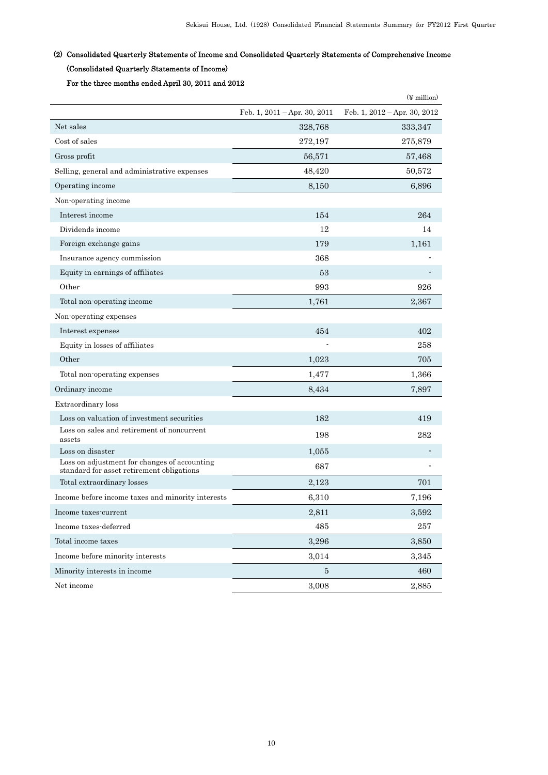## (2) Consolidated Quarterly Statements of Income and Consolidated Quarterly Statements of Comprehensive Income (Consolidated Quarterly Statements of Income)

For the three months ended April 30, 2011 and 2012

|                                                                                           |                                  | $(\frac{y}{x})$ million          |
|-------------------------------------------------------------------------------------------|----------------------------------|----------------------------------|
|                                                                                           | Feb. 1, $2011 - Apr.$ 30, $2011$ | Feb. 1, $2012 - Apr.$ 30, $2012$ |
| Net sales                                                                                 | 328,768                          | 333,347                          |
| Cost of sales                                                                             | 272,197                          | 275,879                          |
| Gross profit                                                                              | 56,571                           | 57,468                           |
| Selling, general and administrative expenses                                              | 48,420                           | 50,572                           |
| Operating income                                                                          | 8,150                            | 6,896                            |
| Non-operating income                                                                      |                                  |                                  |
| Interest income                                                                           | 154                              | 264                              |
| Dividends income                                                                          | 12                               | 14                               |
| Foreign exchange gains                                                                    | 179                              | 1,161                            |
| Insurance agency commission                                                               | 368                              |                                  |
| Equity in earnings of affiliates                                                          | 53                               |                                  |
| Other                                                                                     | 993                              | 926                              |
| Total non-operating income                                                                | 1,761                            | 2,367                            |
| Non-operating expenses                                                                    |                                  |                                  |
| Interest expenses                                                                         | 454                              | 402                              |
| Equity in losses of affiliates                                                            |                                  | 258                              |
| Other                                                                                     | 1,023                            | 705                              |
| Total non-operating expenses                                                              | 1,477                            | 1,366                            |
| Ordinary income                                                                           | 8,434                            | 7,897                            |
| Extraordinary loss                                                                        |                                  |                                  |
| Loss on valuation of investment securities                                                | 182                              | 419                              |
| Loss on sales and retirement of noncurrent<br>assets                                      | 198                              | 282                              |
| Loss on disaster                                                                          | 1,055                            |                                  |
| Loss on adjustment for changes of accounting<br>standard for asset retirement obligations | 687                              |                                  |
| Total extraordinary losses                                                                | 2,123                            | 701                              |
| Income before income taxes and minority interests                                         | 6,310                            | 7,196                            |
| Income taxes-current                                                                      | 2,811                            | 3,592                            |
| Income taxes-deferred                                                                     | 485                              | 257                              |
| Total income taxes                                                                        | 3,296                            | 3,850                            |
| Income before minority interests                                                          | 3,014                            | 3,345                            |
| Minority interests in income                                                              | $\bf 5$                          | 460                              |
| Net income                                                                                | 3,008                            | 2,885                            |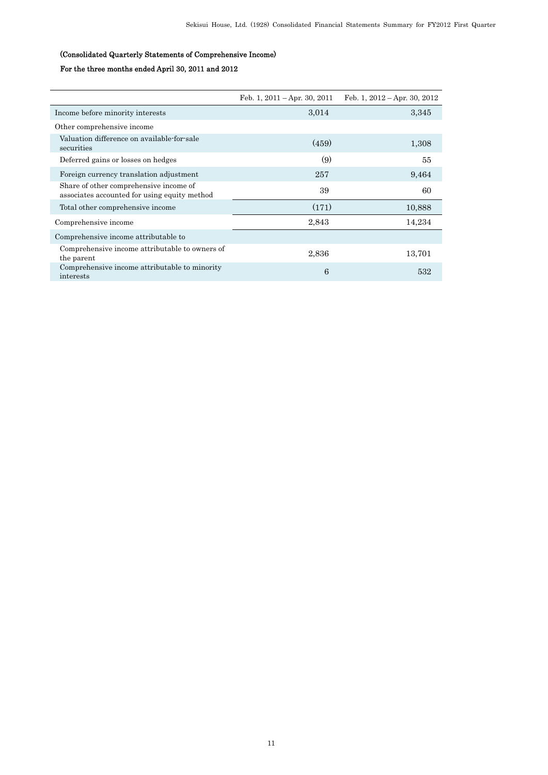## (Consolidated Quarterly Statements of Comprehensive Income)

## For the three months ended April 30, 2011 and 2012

|                                                                                        | Feb. 1, $2011 - Apr.$ 30, $2011$ | Feb. 1, $2012 - Apr.$ 30, $2012$ |
|----------------------------------------------------------------------------------------|----------------------------------|----------------------------------|
| Income before minority interests                                                       | 3,014                            | 3,345                            |
| Other comprehensive income                                                             |                                  |                                  |
| Valuation difference on available-for-sale<br>securities                               | (459)                            | 1,308                            |
| Deferred gains or losses on hedges                                                     | (9)                              | 55                               |
| Foreign currency translation adjustment                                                | 257                              | 9,464                            |
| Share of other comprehensive income of<br>associates accounted for using equity method | 39                               | 60                               |
| Total other comprehensive income                                                       | (171)                            | 10,888                           |
| Comprehensive income                                                                   | 2,843                            | 14,234                           |
| Comprehensive income attributable to                                                   |                                  |                                  |
| Comprehensive income attributable to owners of<br>the parent                           | 2,836                            | 13,701                           |
| Comprehensive income attributable to minority<br>interests                             | 6                                | 532                              |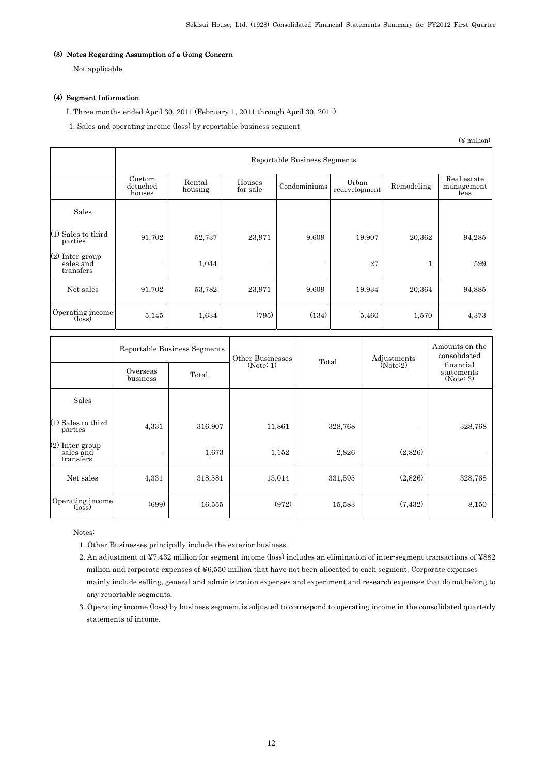## (3) Notes Regarding Assumption of a Going Concern

Not applicable

## (4) Segment Information

I. Three months ended April 30, 2011 (February 1, 2011 through April 30, 2011)

1. Sales and operating income (loss) by reportable business segment

(¥ million)

|                                           | Reportable Business Segments |                   |                    |              |                        |            |                                   |  |
|-------------------------------------------|------------------------------|-------------------|--------------------|--------------|------------------------|------------|-----------------------------------|--|
|                                           | Custom<br>detached<br>houses | Rental<br>housing | Houses<br>for sale | Condominiums | Urban<br>redevelopment | Remodeling | Real estate<br>management<br>fees |  |
| Sales                                     |                              |                   |                    |              |                        |            |                                   |  |
| $(1)$ Sales to third<br>parties           | 91,702                       | 52,737            | 23,971             | 9,609        | 19,907                 | 20,362     | 94,285                            |  |
| (2) Inter-group<br>sales and<br>transfers | $\blacksquare$               | 1,044             | $\blacksquare$     | ٠            | 27                     | 1          | 599                               |  |
| Net sales                                 | 91,702                       | 53,782            | 23,971             | 9,609        | 19,934                 | 20,364     | 94,885                            |  |
| Operating income<br>$(\text{loss})$       | 5,145                        | 1,634             | (795)              | (134)        | 5,460                  | 1,570      | 4,373                             |  |

|                                                | Overseas<br>business | Reportable Business Segments<br>Total | Other Businesses<br>(Note: 1) | Total   | Adjustments<br>(Note:2) | Amounts on the<br>consolidated<br>financial<br>statements<br>(Note: 3) |
|------------------------------------------------|----------------------|---------------------------------------|-------------------------------|---------|-------------------------|------------------------------------------------------------------------|
|                                                |                      |                                       |                               |         |                         |                                                                        |
| Sales                                          |                      |                                       |                               |         |                         |                                                                        |
| $(1)$ Sales to third<br>parties                | 4,331                | 316,907                               | 11,861                        | 328,768 | ٠                       | 328,768                                                                |
| $(2)$ Inter-group<br>sales and<br>transfers    | $\blacksquare$       | 1,673                                 | 1,152                         | 2,826   | (2,826)                 |                                                                        |
| Net sales                                      | 4,331                | 318,581                               | 13,014                        | 331,595 | (2,826)                 | 328,768                                                                |
| Operating income<br>$(\overline{\text{loss}})$ | (699)                | 16,555                                | (972)                         | 15,583  | (7, 432)                | 8,150                                                                  |

Notes:

1. Other Businesses principally include the exterior business.

2. An adjustment of ¥7,432 million for segment income (loss) includes an elimination of inter-segment transactions of ¥882 million and corporate expenses of ¥6,550 million that have not been allocated to each segment. Corporate expenses mainly include selling, general and administration expenses and experiment and research expenses that do not belong to any reportable segments.

3. Operating income (loss) by business segment is adjusted to correspond to operating income in the consolidated quarterly statements of income.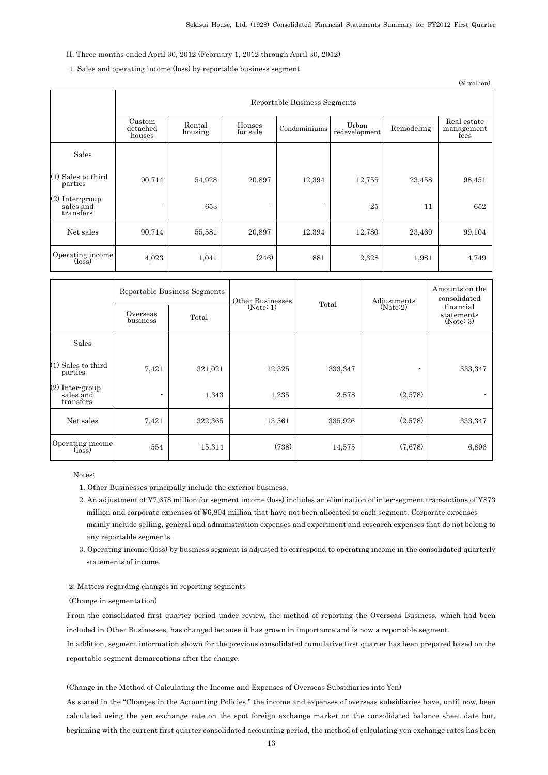### II. Three months ended April 30, 2012 (February 1, 2012 through April 30, 2012)

## 1. Sales and operating income (loss) by reportable business segment

(¥ million)

|                                                | Reportable Business Segments |                   |                    |                          |                        |            |                                   |  |
|------------------------------------------------|------------------------------|-------------------|--------------------|--------------------------|------------------------|------------|-----------------------------------|--|
|                                                | Custom<br>detached<br>houses | Rental<br>housing | Houses<br>for sale | Condominiums             | Urban<br>redevelopment | Remodeling | Real estate<br>management<br>fees |  |
| Sales                                          |                              |                   |                    |                          |                        |            |                                   |  |
| $(1)$ Sales to third<br>parties                | 90,714                       | 54,928            | 20.897             | 12,394                   | 12,755                 | 23,458     | 98,451                            |  |
| (2) Inter-group<br>sales and<br>transfers      |                              | 653               |                    | $\overline{\phantom{a}}$ | 25                     | 11         | 652                               |  |
| Net sales                                      | 90,714                       | 55,581            | 20,897             | 12.394                   | 12,780                 | 23,469     | 99,104                            |  |
| Operating income<br>$(\overline{\text{loss}})$ | 4,023                        | 1,041             | (246)              | 881                      | 2,328                  | 1,981      | 4,749                             |  |

|                                           | Reportable Business Segments |         | Other Businesses | Total   | Adjustments              | Amounts on the<br>consolidated       |  |
|-------------------------------------------|------------------------------|---------|------------------|---------|--------------------------|--------------------------------------|--|
|                                           | Overseas<br>business         | Total   | (Note: 1)        |         | (Note:2)                 | financial<br>statements<br>(Note: 3) |  |
| Sales                                     |                              |         |                  |         |                          |                                      |  |
| $(1)$ Sales to third<br>parties           | 7,421                        | 321,021 | 12,325           | 333,347 | $\overline{\phantom{a}}$ | 333,347                              |  |
| (2) Inter group<br>sales and<br>transfers | $\blacksquare$               | 1,343   | 1,235            | 2,578   | (2.578)                  | $\blacksquare$                       |  |
| Net sales                                 | 7,421                        | 322,365 | 13,561           | 335,926 | (2,578)                  | 333,347                              |  |
| Operating income<br>$(\text{loss})$       | 554                          | 15,314  | (738)            | 14,575  | (7,678)                  | 6,896                                |  |

Notes:

- 1. Other Businesses principally include the exterior business.
- 2. An adjustment of ¥7,678 million for segment income (loss) includes an elimination of inter-segment transactions of ¥873 million and corporate expenses of ¥6,804 million that have not been allocated to each segment. Corporate expenses mainly include selling, general and administration expenses and experiment and research expenses that do not belong to any reportable segments.
- 3. Operating income (loss) by business segment is adjusted to correspond to operating income in the consolidated quarterly statements of income.
- 2. Matters regarding changes in reporting segments
- (Change in segmentation)

From the consolidated first quarter period under review, the method of reporting the Overseas Business, which had been included in Other Businesses, has changed because it has grown in importance and is now a reportable segment.

In addition, segment information shown for the previous consolidated cumulative first quarter has been prepared based on the reportable segment demarcations after the change.

(Change in the Method of Calculating the Income and Expenses of Overseas Subsidiaries into Yen)

As stated in the "Changes in the Accounting Policies," the income and expenses of overseas subsidiaries have, until now, been calculated using the yen exchange rate on the spot foreign exchange market on the consolidated balance sheet date but, beginning with the current first quarter consolidated accounting period, the method of calculating yen exchange rates has been